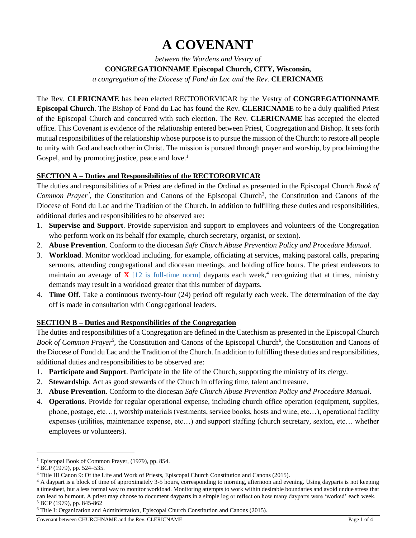# **A COVENANT**

*between the Wardens and Vestry of* **CONGREGATIONNAME Episcopal Church, CITY, Wisconsin,** *a congregation of the Diocese of Fond du Lac and the Rev.* **CLERICNAME**

The Rev. **CLERICNAME** has been elected RECTORORVICAR by the Vestry of **CONGREGATIONNAME Episcopal Church**. The Bishop of Fond du Lac has found the Rev. **CLERICNAME** to be a duly qualified Priest of the Episcopal Church and concurred with such election. The Rev. **CLERICNAME** has accepted the elected office. This Covenant is evidence of the relationship entered between Priest, Congregation and Bishop. It sets forth mutual responsibilities of the relationship whose purpose is to pursue the mission of the Church: to restore all people to unity with God and each other in Christ. The mission is pursued through prayer and worship, by proclaiming the Gospel, and by promoting justice, peace and love.<sup>1</sup>

# **SECTION A – Duties and Responsibilities of the RECTORORVICAR**

The duties and responsibilities of a Priest are defined in the Ordinal as presented in the Episcopal Church *Book of*  Common Prayer<sup>2</sup>, the Constitution and Canons of the Episcopal Church<sup>3</sup>, the Constitution and Canons of the Diocese of Fond du Lac and the Tradition of the Church. In addition to fulfilling these duties and responsibilities, additional duties and responsibilities to be observed are:

- 1. **Supervise and Support**. Provide supervision and support to employees and volunteers of the Congregation who perform work on its behalf (for example, church secretary, organist, or sexton).
- 2. **Abuse Prevention**. Conform to the diocesan *Safe Church Abuse Prevention Policy and Procedure Manual*.
- 3. **Workload**. Monitor workload including, for example, officiating at services, making pastoral calls, preparing sermons, attending congregational and diocesan meetings, and holding office hours. The priest endeavors to maintain an average of  $X$  [12 is full-time norm] dayparts each week,<sup>4</sup> recognizing that at times, ministry demands may result in a workload greater that this number of dayparts.
- 4. **Time Off**. Take a continuous twenty-four (24) period off regularly each week. The determination of the day off is made in consultation with Congregational leaders.

# **SECTION B – Duties and Responsibilities of the Congregation**

The duties and responsibilities of a Congregation are defined in the Catechism as presented in the Episcopal Church Book of Common Prayer<sup>5</sup>, the Constitution and Canons of the Episcopal Church<sup>6</sup>, the Constitution and Canons of the Diocese of Fond du Lac and the Tradition of the Church. In addition to fulfilling these duties and responsibilities, additional duties and responsibilities to be observed are:

- 1. **Participate and Support**. Participate in the life of the Church, supporting the ministry of its clergy.
- 2. **Stewardship**. Act as good stewards of the Church in offering time, talent and treasure.
- 3. **Abuse Prevention**. Conform to the diocesan *Safe Church Abuse Prevention Policy and Procedure Manual*.
- 4. **Operations**. Provide for regular operational expense, including church office operation (equipment, supplies, phone, postage, etc…), worship materials (vestments, service books, hosts and wine, etc…), operational facility expenses (utilities, maintenance expense, etc…) and support staffing (church secretary, sexton, etc… whether employees or volunteers).

 $\overline{a}$ 

<sup>1</sup> Episcopal Book of Common Prayer, (1979), pp. 854.

<sup>2</sup> BCP (1979), pp. 524–535.

<sup>3</sup> Title III Canon 9: Of the Life and Work of Priests, Episcopal Church Constitution and Canons (2015).

<sup>&</sup>lt;sup>4</sup> A daypart is a block of time of approximately 3-5 hours, corresponding to morning, afternoon and evening. Using dayparts is not keeping a timesheet, but a less formal way to monitor workload. Monitoring attempts to work within desirable boundaries and avoid undue stress that can lead to burnout. A priest may choose to document dayparts in a simple log or reflect on how many dayparts were 'worked' each week. <sup>5</sup> BCP (1979), pp. 845-862

<sup>6</sup> Title I: Organization and Administration, Episcopal Church Constitution and Canons (2015).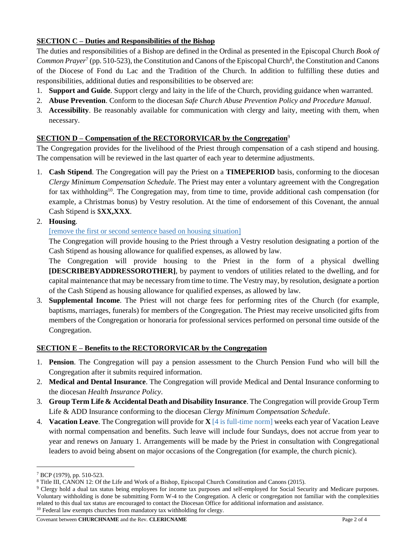# **SECTION C – Duties and Responsibilities of the Bishop**

The duties and responsibilities of a Bishop are defined in the Ordinal as presented in the Episcopal Church *Book of*  Common Prayer<sup>7</sup> (pp. 510-523), the Constitution and Canons of the Episcopal Church<sup>8</sup>, the Constitution and Canons of the Diocese of Fond du Lac and the Tradition of the Church. In addition to fulfilling these duties and responsibilities, additional duties and responsibilities to be observed are:

- 1. **Support and Guide**. Support clergy and laity in the life of the Church, providing guidance when warranted.
- 2. **Abuse Prevention**. Conform to the diocesan *Safe Church Abuse Prevention Policy and Procedure Manual*.
- 3. **Accessibility**. Be reasonably available for communication with clergy and laity, meeting with them, when necessary.

### **SECTION D – Compensation of the RECTORORVICAR by the Congregation**<sup>9</sup>

The Congregation provides for the livelihood of the Priest through compensation of a cash stipend and housing. The compensation will be reviewed in the last quarter of each year to determine adjustments.

1. **Cash Stipend**. The Congregation will pay the Priest on a **TIMEPERIOD** basis, conforming to the diocesan *Clergy Minimum Compensation Schedule*. The Priest may enter a voluntary agreement with the Congregation for tax withholding<sup>10</sup>. The Congregation may, from time to time, provide additional cash compensation (for example, a Christmas bonus) by Vestry resolution. At the time of endorsement of this Covenant, the annual Cash Stipend is \$**XX,XXX**.

#### 2. **Housing**.

#### [remove the first or second sentence based on housing situation]

The Congregation will provide housing to the Priest through a Vestry resolution designating a portion of the Cash Stipend as housing allowance for qualified expenses, as allowed by law.

The Congregation will provide housing to the Priest in the form of a physical dwelling **[DESCRIBEBYADDRESSOROTHER]**, by payment to vendors of utilities related to the dwelling, and for capital maintenance that may be necessary from time to time. The Vestry may, by resolution, designate a portion of the Cash Stipend as housing allowance for qualified expenses, as allowed by law.

3. **Supplemental Income**. The Priest will not charge fees for performing rites of the Church (for example, baptisms, marriages, funerals) for members of the Congregation. The Priest may receive unsolicited gifts from members of the Congregation or honoraria for professional services performed on personal time outside of the Congregation.

#### **SECTION E – Benefits to the RECTORORVICAR by the Congregation**

- 1. **Pension**. The Congregation will pay a pension assessment to the Church Pension Fund who will bill the Congregation after it submits required information.
- 2. **Medical and Dental Insurance**. The Congregation will provide Medical and Dental Insurance conforming to the diocesan *Health Insurance Policy*.
- 3. **Group Term Life & Accidental Death and Disability Insurance**. The Congregation will provide Group Term Life & ADD Insurance conforming to the diocesan *Clergy Minimum Compensation Schedule*.
- 4. **Vacation Leave**. The Congregation will provide for **X** [4 is full-time norm] weeks each year of Vacation Leave with normal compensation and benefits. Such leave will include four Sundays, does not accrue from year to year and renews on January 1. Arrangements will be made by the Priest in consultation with Congregational leaders to avoid being absent on major occasions of the Congregation (for example, the church picnic).

 $\overline{a}$ 

<sup>7</sup> BCP (1979), pp. 510-523.

<sup>8</sup> Title III, CANON 12: Of the Life and Work of a Bishop, Episcopal Church Constitution and Canons (2015).

<sup>9</sup> Clergy hold a dual tax status being employees for income tax purposes and self-employed for Social Security and Medicare purposes. Voluntary withholding is done be submitting Form W-4 to the Congregation. A cleric or congregation not familiar with the complexities related to this dual tax status are encouraged to contact the Diocesan Office for additional information and assistance. <sup>10</sup> Federal law exempts churches from mandatory tax withholding for clergy.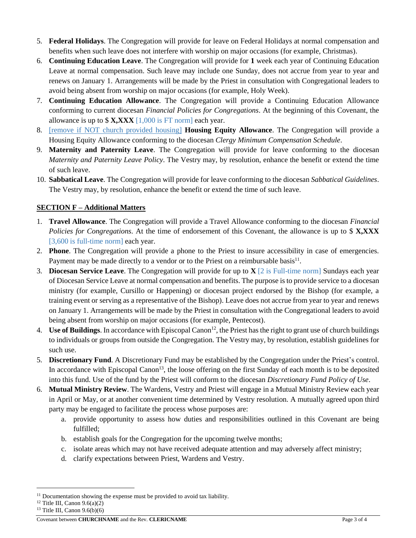- 5. **Federal Holidays**. The Congregation will provide for leave on Federal Holidays at normal compensation and benefits when such leave does not interfere with worship on major occasions (for example, Christmas).
- 6. **Continuing Education Leave**. The Congregation will provide for **1** week each year of Continuing Education Leave at normal compensation. Such leave may include one Sunday, does not accrue from year to year and renews on January 1. Arrangements will be made by the Priest in consultation with Congregational leaders to avoid being absent from worship on major occasions (for example, Holy Week).
- 7. **Continuing Education Allowance**. The Congregation will provide a Continuing Education Allowance conforming to current diocesan *Financial Policies for Congregations*. At the beginning of this Covenant, the allowance is up to \$ **X,XXX** [1,000 is FT norm] each year.
- 8. [remove if NOT church provided housing] **Housing Equity Allowance**. The Congregation will provide a Housing Equity Allowance conforming to the diocesan *Clergy Minimum Compensation Schedule*.
- 9. **Maternity and Paternity Leave**. The Congregation will provide for leave conforming to the diocesan *Maternity and Paternity Leave Policy*. The Vestry may, by resolution, enhance the benefit or extend the time of such leave.
- 10. **Sabbatical Leave**. The Congregation will provide for leave conforming to the diocesan *Sabbatical Guidelines*. The Vestry may, by resolution, enhance the benefit or extend the time of such leave.

# **SECTION F – Additional Matters**

- 1. **Travel Allowance**. The Congregation will provide a Travel Allowance conforming to the diocesan *Financial Policies for Congregations*. At the time of endorsement of this Covenant, the allowance is up to \$ **X,XXX** [3,600 is full-time norm] each year.
- 2. **Phone**. The Congregation will provide a phone to the Priest to insure accessibility in case of emergencies. Payment may be made directly to a vendor or to the Priest on a reimbursable basis<sup>11</sup>.
- 3. **Diocesan Service Leave**. The Congregation will provide for up to **X** [2 is Full-time norm] Sundays each year of Diocesan Service Leave at normal compensation and benefits. The purpose is to provide service to a diocesan ministry (for example, Cursillo or Happening) or diocesan project endorsed by the Bishop (for example, a training event or serving as a representative of the Bishop). Leave does not accrue from year to year and renews on January 1. Arrangements will be made by the Priest in consultation with the Congregational leaders to avoid being absent from worship on major occasions (for example, Pentecost).
- 4. Use of Buildings. In accordance with Episcopal Canon<sup>12</sup>, the Priest has the right to grant use of church buildings to individuals or groups from outside the Congregation. The Vestry may, by resolution, establish guidelines for such use.
- 5. **Discretionary Fund**. A Discretionary Fund may be established by the Congregation under the Priest's control. In accordance with Episcopal Canon<sup>13</sup>, the loose offering on the first Sunday of each month is to be deposited into this fund. Use of the fund by the Priest will conform to the diocesan *Discretionary Fund Policy of Use*.
- 6. **Mutual Ministry Review**. The Wardens, Vestry and Priest will engage in a Mutual Ministry Review each year in April or May, or at another convenient time determined by Vestry resolution. A mutually agreed upon third party may be engaged to facilitate the process whose purposes are:
	- a. provide opportunity to assess how duties and responsibilities outlined in this Covenant are being fulfilled;
	- b. establish goals for the Congregation for the upcoming twelve months;
	- c. isolate areas which may not have received adequate attention and may adversely affect ministry;
	- d. clarify expectations between Priest, Wardens and Vestry.

l

<sup>&</sup>lt;sup>11</sup> Documentation showing the expense must be provided to avoid tax liability.

 $12$  Title III, Canon 9.6(a)(2)

<sup>13</sup> Title III, Canon 9.6(b)(6)

**Covenant between CHURCHNAME** and the Rev. **CLERICNAME Page 3 of 4**